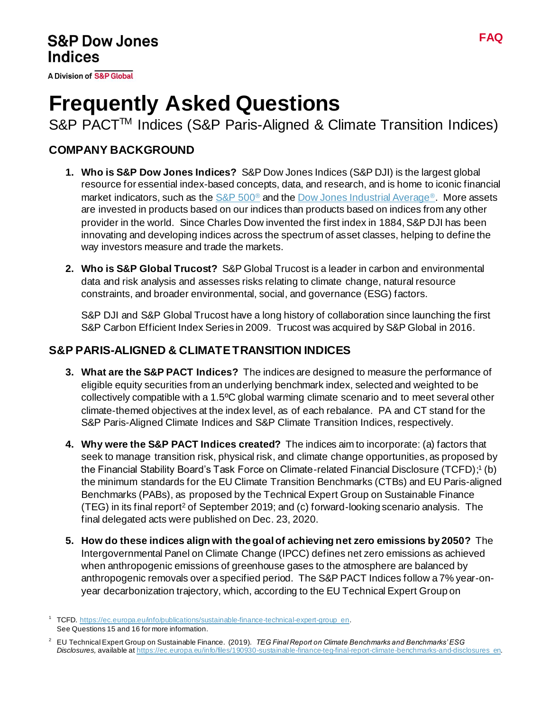**A Division of S&P Global** 

# **Frequently Asked Questions**

S&P PACT<sup>™</sup> Indices (S&P Paris-Aligned & Climate Transition Indices)

## **COMPANY BACKGROUND**

- **1. Who is S&P Dow Jones Indices?** S&P Dow Jones Indices (S&P DJI) is the largest global resource for essential index-based concepts, data, and research, and is home to iconic financial market indicators, such as th[e S&P 500](https://www.spglobal.com/spdji/en/indices/equity/sp-500/?utm_source=pdf_education)<sup>®</sup> and th[e Dow Jones Industrial Average](https://www.spglobal.com/spdji/en/indices/equity/dow-jones-industrial-average/?utm_source=pdf_education)<sup>®</sup>. More assets are invested in products based on our indices than products based on indices from any other provider in the world. Since Charles Dow invented the first index in 1884, S&P DJI has been innovating and developing indices across the spectrum of asset classes, helping to define the way investors measure and trade the markets.
- **2. Who is S&P Global Trucost?** S&P Global Trucost is a leader in carbon and environmental data and risk analysis and assesses risks relating to climate change, natural resource constraints, and broader environmental, social, and governance (ESG) factors.

S&P DJI and S&P Global Trucost have a long history of collaboration since launching the first S&P Carbon Efficient Index Series in 2009. Trucost was acquired by S&P Global in 2016.

## **S&P PARIS-ALIGNED & CLIMATE TRANSITION INDICES**

- **3. What are the S&P PACT Indices?** The indices are designed to measure the performance of eligible equity securities from an underlying benchmark index, selected and weighted to be collectively compatible with a 1.5ºC global warming climate scenario and to meet several other climate-themed objectives at the index level, as of each rebalance. PA and CT stand for the S&P Paris-Aligned Climate Indices and S&P Climate Transition Indices, respectively.
- **4. Why were the S&P PACT Indices created?** The indices aim to incorporate: (a) factors that seek to manage transition risk, physical risk, and climate change opportunities, as proposed by the Financial Stability Board's Task Force on Climate-related Financial Disclosure (TCFD); 1 (b) the minimum standards for the EU Climate Transition Benchmarks (CTBs) and EU Paris-aligned Benchmarks (PABs), as proposed by the Technical Expert Group on Sustainable Finance (TEG) in its final report<sup>2</sup> of September 2019; and (c) forward-looking scenario analysis. The final delegated acts were published on Dec. 23, 2020.
- **5. How do these indices align with the goal of achieving net zero emissions by 2050?** The Intergovernmental Panel on Climate Change (IPCC) defines net zero emissions as achieved when anthropogenic emissions of greenhouse gases to the atmosphere are balanced by anthropogenic removals over a specified period. The S&P PACT Indices follow a 7% year-onyear decarbonization trajectory, which, according to the EU Technical Expert Group on

<sup>1</sup> TCFD. [https://ec.europa.eu/info/publications/sustainable-finance-technical-expert-group\\_en](https://ec.europa.eu/info/publications/sustainable-finance-technical-expert-group_en). See Questions 15 and 16 for more information.

<sup>2</sup> EU Technical Expert Group on Sustainable Finance. (2019). *TEG Final Report on Climate Benchmarks and Benchmarks' ESG Disclosures,* available a[t https://ec.europa.eu/info/files/190930-sustainable-finance-teg-final-report-climate-benchmarks-and-disclosures\\_en.](https://ec.europa.eu/info/files/190930-sustainable-finance-teg-final-report-climate-benchmarks-and-disclosures_en)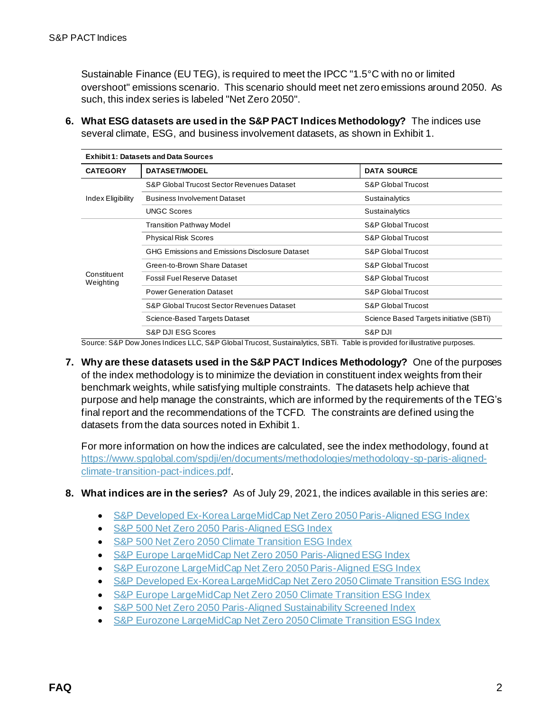Sustainable Finance (EU TEG), is required to meet the IPCC "1.5°C with no or limited overshoot" emissions scenario. This scenario should meet net zero emissions around 2050. As such, this index series is labeled "Net Zero 2050".

**6. What ESG datasets are used in the S&P PACT Indices Methodology?** The indices use several climate, ESG, and business involvement datasets, as shown in Exhibit 1.

| <b>Exhibit 1: Datasets and Data Sources</b> |                                                |                                         |  |
|---------------------------------------------|------------------------------------------------|-----------------------------------------|--|
| <b>CATEGORY</b>                             | <b>DATASET/MODEL</b>                           | <b>DATA SOURCE</b>                      |  |
|                                             | S&P Global Trucost Sector Revenues Dataset     | S&P Global Trucost                      |  |
| Index Eligibility                           | <b>Business Involvement Dataset</b>            | Sustainalytics                          |  |
|                                             | <b>UNGC Scores</b>                             | Sustainalytics                          |  |
| Constituent<br>Weighting                    | Transition Pathway Model                       | <b>S&amp;P Global Trucost</b>           |  |
|                                             | <b>Physical Risk Scores</b>                    | S&P Global Trucost                      |  |
|                                             | GHG Emissions and Emissions Disclosure Dataset | S&P Global Trucost                      |  |
|                                             | Green-to-Brown Share Dataset                   | S&P Global Trucost                      |  |
|                                             | <b>Fossil Fuel Reserve Dataset</b>             | S&P Global Trucost                      |  |
|                                             | <b>Power Generation Dataset</b>                | S&P Global Trucost                      |  |
|                                             | S&P Global Trucost Sector Revenues Dataset     | S&P Global Trucost                      |  |
|                                             | Science-Based Targets Dataset                  | Science Based Targets initiative (SBTi) |  |
|                                             | S&P DJI ESG Scores                             | S&P DJI                                 |  |

Source: S&P Dow Jones Indices LLC, S&P Global Trucost, Sustainalytics, SBTi. Table is provided for illustrative purposes.

**7. Why are these datasets used in the S&P PACT Indices Methodology?** One of the purposes of the index methodology is to minimize the deviation in constituent index weights from their benchmark weights, while satisfying multiple constraints. The datasets help achieve that purpose and help manage the constraints, which are informed by the requirements of the TEG's final report and the recommendations of the TCFD. The constraints are defined using the datasets from the data sources noted in Exhibit 1.

For more information on how the indices are calculated, see the index methodology, found at [https://www.spglobal.com/spdji/en/documents/methodologies/methodology-sp-paris-aligned](https://www.spglobal.com/spdji/en/documents/methodologies/methodology-sp-paris-aligned-climate-transition-pact-indices.pdf?utm_source=pdf_education)[climate-transition-pact-indices.pdf](https://www.spglobal.com/spdji/en/documents/methodologies/methodology-sp-paris-aligned-climate-transition-pact-indices.pdf?utm_source=pdf_education).

- **8. What indices are in the series?** As of July 29, 2021, the indices available in this series are:
	- [S&P Developed Ex-Korea LargeMidCap Net Zero 2050 Paris-Aligned ESG Index](https://spglobal.com/spdji/en/indices/esg/sp-developed-ex-korea-largemidcap-net-zero-2050-paris-aligned-esg-index/?utm_source=pdf_education)
	- [S&P 500 Net Zero 2050 Paris-Aligned ESG Index](https://spglobal.com/spdji/en/indices/esg/sp-500-net-zero-2050-paris-aligned-esg-index/?utm_source=pdf_education)
	- [S&P 500 Net Zero 2050 Climate Transition ESG Index](https://spglobal.com/spdji/en/indices/esg/sp-500-net-zero-2050-climate-transition-esg-index/?utm_source=pdf_education)
	- [S&P Europe LargeMidCap Net Zero 2050 Paris-Aligned ESG Index](https://spglobal.com/spdji/en/indices/esg/sp-europe-largemidcap-net-zero-2050-paris-aligned-esg-index/?utm_source=pdf_education)
	- [S&P Eurozone LargeMidCap Net Zero 2050 Paris-Aligned ESG Index](https://spglobal.com/spdji/en/indices/esg/sp-eurozone-largemidcap-net-zero-2050-paris-aligned-esg-index/?utm_source=pdf_education)
	- [S&P Developed Ex-Korea LargeMidCap Net Zero 2050 Climate Transition ESG Index](https://spglobal.com/spdji/en/indices/esg/sp-developed-ex-korea-largemidcap-net-zero-2050-climate-transition-esg-index/?utm_source=pdf_education)
	- [S&P Europe LargeMidCap Net Zero 2050 Climate Transition ESG Index](https://spglobal.com/spdji/en/indices/esg/sp-europe-largemidcap-net-zero-2050-climate-transition-esg-index/?utm_source=pdf_education)
	- [S&P 500 Net Zero 2050 Paris-Aligned Sustainability Screened Index](https://spglobal.com/spdji/en/indices/esg/sp-500-net-zero-2050-paris-aligned-sustainability-screened-index/?utm_source=pdf_education)
	- [S&P Eurozone LargeMidCap Net Zero 2050 Climate Transition ESG Index](https://spglobal.com/spdji/en/indices/esg/sp-eurozone-largemidcap-net-zero-2050-climate-transition-esg-index/?utm_source=pdf_education)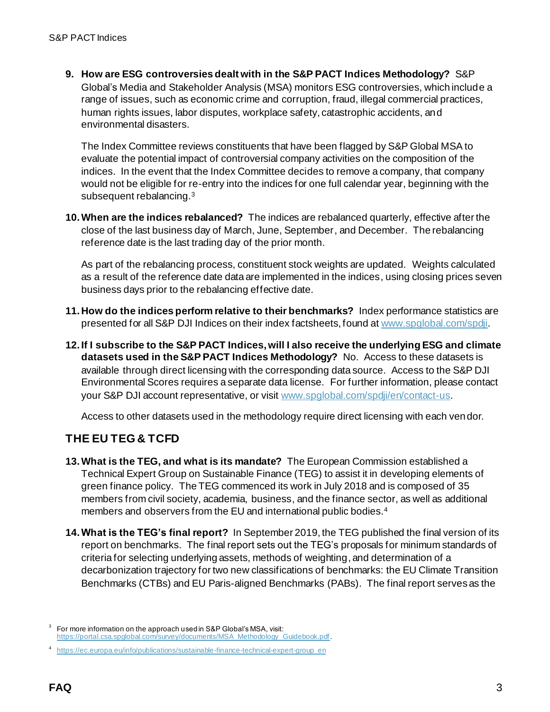**9. How are ESG controversies dealt with in the S&P PACT Indices Methodology?** S&P Global's Media and Stakeholder Analysis (MSA) monitors ESG controversies, which include a range of issues, such as economic crime and corruption, fraud, illegal commercial practices, human rights issues, labor disputes, workplace safety, catastrophic accidents, and environmental disasters.

The Index Committee reviews constituents that have been flagged by S&P Global MSA to evaluate the potential impact of controversial company activities on the composition of the indices. In the event that the Index Committee decides to remove a company, that company would not be eligible for re-entry into the indices for one full calendar year, beginning with the subsequent rebalancing.<sup>3</sup>

**10.When are the indices rebalanced?** The indices are rebalanced quarterly, effective after the close of the last business day of March, June, September, and December. The rebalancing reference date is the last trading day of the prior month.

As part of the rebalancing process, constituent stock weights are updated. Weights calculated as a result of the reference date data are implemented in the indices, using closing prices seven business days prior to the rebalancing effective date.

- **11. How do the indices perform relative to their benchmarks?** Index performance statistics are presented for all S&P DJI Indices on their index factsheets, found a[t www.spglobal.com/spdji](http://www.spglobal.com/spdji?utm_source=pdf_education).
- **12. If I subscribe to the S&P PACT Indices, will I also receive the underlying ESG and climate datasets used in the S&P PACT Indices Methodology?** No. Access to these datasets is available through direct licensing with the corresponding data source. Access to the S&P DJI Environmental Scores requires a separate data license. For further information, please contact your S&P DJI account representative, or visi[t www.spglobal.com/spdji/en/contact-us](https://www.spglobal.com/spdji/en/contact-us/?utm_source=pdf_education).

Access to other datasets used in the methodology require direct licensing with each vendor.

# **THE EU TEG & TCFD**

- **13.What is the TEG, and what is its mandate?** The European Commission established a Technical Expert Group on Sustainable Finance (TEG) to assist it in developing elements of green finance policy. The TEG commenced its work in July 2018 and is composed of 35 members from civil society, academia, business, and the finance sector, as well as additional members and observers from the EU and international public bodies.<sup>4</sup>
- **14.What is the TEG's final report?** In September 2019, the TEG published the final version of its report on benchmarks. The final report sets out the TEG's proposals for minimum standards of criteria for selecting underlying assets, methods of weighting, and determination of a decarbonization trajectory for two new classifications of benchmarks: the EU Climate Transition Benchmarks (CTBs) and EU Paris-aligned Benchmarks (PABs). The final report serves as the

<sup>3</sup> For more information on the approach used in S&P Global's MSA, visit: [https://portal.csa.spglobal.com/survey/documents/MSA\\_Methodology\\_Guidebook.pdf](https://portal.csa.spglobal.com/survey/documents/MSA_Methodology_Guidebook.pdf).

<sup>4</sup> [https://ec.europa.eu/info/publications/sustainable-finance-technical-expert-group\\_en](https://ec.europa.eu/info/publications/sustainable-finance-technical-expert-group_en)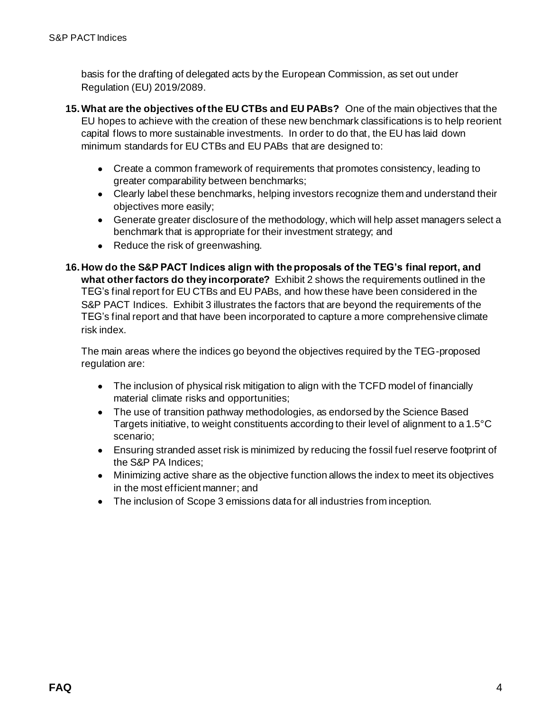basis for the drafting of delegated acts by the European Commission, as set out under Regulation (EU) 2019/2089.

- **15.What are the objectives of the EU CTBs and EU PABs?** One of the main objectives that the EU hopes to achieve with the creation of these new benchmark classifications is to help reorient capital flows to more sustainable investments. In order to do that, the EU has laid down minimum standards for EU CTBs and EU PABs that are designed to:
	- Create a common framework of requirements that promotes consistency, leading to greater comparability between benchmarks;
	- Clearly label these benchmarks, helping investors recognize them and understand their objectives more easily;
	- Generate greater disclosure of the methodology, which will help asset managers select a benchmark that is appropriate for their investment strategy; and
	- Reduce the risk of greenwashing.
- **16. How do the S&P PACT Indices align with the proposals of the TEG's final report, and what other factors do they incorporate?** Exhibit 2 shows the requirements outlined in the TEG's final report for EU CTBs and EU PABs, and how these have been considered in the S&P PACT Indices. Exhibit 3 illustrates the factors that are beyond the requirements of the TEG's final report and that have been incorporated to capture a more comprehensive climate risk index.

The main areas where the indices go beyond the objectives required by the TEG-proposed regulation are:

- The inclusion of physical risk mitigation to align with the TCFD model of financially material climate risks and opportunities;
- The use of transition pathway methodologies, as endorsed by the Science Based Targets initiative, to weight constituents according to their level of alignment to a 1.5°C scenario;
- Ensuring stranded asset risk is minimized by reducing the fossil fuel reserve footprint of the S&P PA Indices;
- Minimizing active share as the objective function allows the index to meet its objectives in the most efficient manner; and
- The inclusion of Scope 3 emissions data for all industries from inception.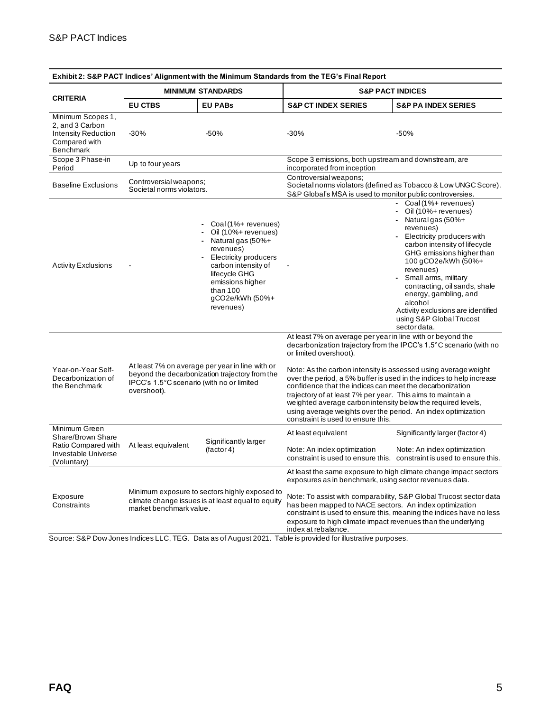| Exhibit 2: S&P PACT Indices' Alignment with the Minimum Standards from the TEG's Final Report           |                                                                                                                                                               |                                                                                                                                                                                                                         |                                                                                                                                                                                                                                                                                                                                                                                                                                                                                                                                                                                                       |                                                                                                                                                                                                                                                                                                                                                                                                 |
|---------------------------------------------------------------------------------------------------------|---------------------------------------------------------------------------------------------------------------------------------------------------------------|-------------------------------------------------------------------------------------------------------------------------------------------------------------------------------------------------------------------------|-------------------------------------------------------------------------------------------------------------------------------------------------------------------------------------------------------------------------------------------------------------------------------------------------------------------------------------------------------------------------------------------------------------------------------------------------------------------------------------------------------------------------------------------------------------------------------------------------------|-------------------------------------------------------------------------------------------------------------------------------------------------------------------------------------------------------------------------------------------------------------------------------------------------------------------------------------------------------------------------------------------------|
|                                                                                                         | <b>MINIMUM STANDARDS</b>                                                                                                                                      |                                                                                                                                                                                                                         | <b>S&amp;P PACT INDICES</b>                                                                                                                                                                                                                                                                                                                                                                                                                                                                                                                                                                           |                                                                                                                                                                                                                                                                                                                                                                                                 |
| <b>CRITERIA</b>                                                                                         | <b>EU CTBS</b>                                                                                                                                                | <b>EU PABS</b>                                                                                                                                                                                                          | <b>S&amp;P CT INDEX SERIES</b>                                                                                                                                                                                                                                                                                                                                                                                                                                                                                                                                                                        | <b>S&amp;P PA INDEX SERIES</b>                                                                                                                                                                                                                                                                                                                                                                  |
| Minimum Scopes 1,<br>2, and 3 Carbon<br><b>Intensity Reduction</b><br>Compared with<br><b>Benchmark</b> | $-30%$                                                                                                                                                        | $-50%$                                                                                                                                                                                                                  | $-30%$                                                                                                                                                                                                                                                                                                                                                                                                                                                                                                                                                                                                | $-50%$                                                                                                                                                                                                                                                                                                                                                                                          |
| Scope 3 Phase-in<br>Period                                                                              | Up to four years                                                                                                                                              |                                                                                                                                                                                                                         | Scope 3 emissions, both upstream and downstream, are<br>incorporated from inception                                                                                                                                                                                                                                                                                                                                                                                                                                                                                                                   |                                                                                                                                                                                                                                                                                                                                                                                                 |
| <b>Baseline Exclusions</b>                                                                              | Controversial weapons;<br>Societal norms violators.                                                                                                           |                                                                                                                                                                                                                         | Controversial weapons;<br>Societal norms violators (defined as Tobacco & Low UNGC Score).<br>S&P Global's MSA is used to monitor public controversies.                                                                                                                                                                                                                                                                                                                                                                                                                                                |                                                                                                                                                                                                                                                                                                                                                                                                 |
| <b>Activity Exclusions</b>                                                                              |                                                                                                                                                               | Coal (1%+ revenues)<br>Oil (10%+ revenues)<br>Natural gas (50%+<br>$\sim$<br>revenues)<br>Electricity producers<br>carbon intensity of<br>lifecycle GHG<br>emissions higher<br>than 100<br>gCO2e/kWh (50%+<br>revenues) |                                                                                                                                                                                                                                                                                                                                                                                                                                                                                                                                                                                                       | - Coal (1%+ revenues)<br>- Oil (10%+ revenues)<br>Natural gas (50%+<br>revenues)<br>Electricity producers with<br>carbon intensity of lifecycle<br>GHG emissions higher than<br>100 gCO2e/kWh (50%+<br>revenues)<br>Small arms, military<br>contracting, oil sands, shale<br>energy, gambling, and<br>alcohol<br>Activity exclusions are identified<br>using S&P Global Trucost<br>sector data. |
| Year-on-Year Self-<br>Decarbonization of<br>the Benchmark                                               | At least 7% on average per year in line with or<br>beyond the decarbonization trajectory from the<br>IPCC's 1.5°C scenario (with no or limited<br>overshoot). |                                                                                                                                                                                                                         | At least 7% on average per year in line with or beyond the<br>decarbonization trajectory from the IPCC's 1.5°C scenario (with no<br>or limited overshoot).<br>Note: As the carbon intensity is assessed using average weight<br>over the period, a 5% buffer is used in the indices to help increase<br>confidence that the indices can meet the decarbonization<br>trajectory of at least 7% per year. This aims to maintain a<br>weighted average carbon intensity below the required levels,<br>using average weights over the period. An index optimization<br>constraint is used to ensure this. |                                                                                                                                                                                                                                                                                                                                                                                                 |
| Minimum Green<br>Share/Brown Share<br>Ratio Compared with<br>Investable Universe<br>(Voluntary)         | At least equivalent                                                                                                                                           | Significantly larger<br>(factor 4)                                                                                                                                                                                      | At least equivalent<br>Note: An index optimization                                                                                                                                                                                                                                                                                                                                                                                                                                                                                                                                                    | Significantly larger (factor 4)<br>Note: An index optimization<br>constraint is used to ensure this. constraint is used to ensure this.                                                                                                                                                                                                                                                         |
| Exposure<br>Constraints                                                                                 | market benchmark value.                                                                                                                                       | Minimum exposure to sectors highly exposed to<br>climate change issues is at least equal to equity                                                                                                                      | exposures as in benchmark, using sector revenues data.<br>has been mapped to NACE sectors. An index optimization<br>exposure to high climate impact revenues than the underlying<br>index at rebalance.                                                                                                                                                                                                                                                                                                                                                                                               | At least the same exposure to high climate change impact sectors<br>Note: To assist with comparability, S&P Global Trucost sector data<br>constraint is used to ensure this, meaning the indices have no less                                                                                                                                                                                   |

Source: S&P Dow Jones Indices LLC, TEG. Data as of August 2021. Table is provided for illustrative purposes.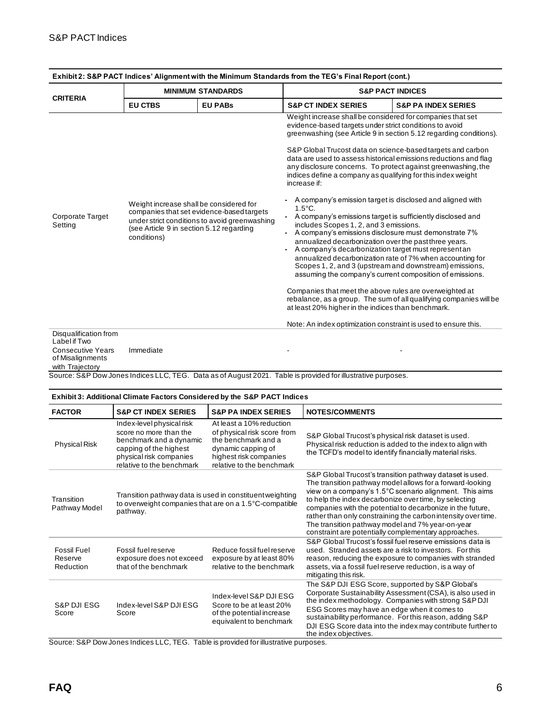|                                                                                                          | <b>MINIMUM STANDARDS</b>                                                                                                                                                                         |                |                                                                                                                                                                                                                                                                                                                                                                                                                                                                                                                                                                                                                                                                                                                                                                                                                                                                                                                                                                                                                                                                                                                                                                                                                                                                                                  | <b>S&amp;P PACT INDICES</b>    |
|----------------------------------------------------------------------------------------------------------|--------------------------------------------------------------------------------------------------------------------------------------------------------------------------------------------------|----------------|--------------------------------------------------------------------------------------------------------------------------------------------------------------------------------------------------------------------------------------------------------------------------------------------------------------------------------------------------------------------------------------------------------------------------------------------------------------------------------------------------------------------------------------------------------------------------------------------------------------------------------------------------------------------------------------------------------------------------------------------------------------------------------------------------------------------------------------------------------------------------------------------------------------------------------------------------------------------------------------------------------------------------------------------------------------------------------------------------------------------------------------------------------------------------------------------------------------------------------------------------------------------------------------------------|--------------------------------|
| <b>CRITERIA</b>                                                                                          | <b>EU CTBS</b>                                                                                                                                                                                   | <b>EU PABS</b> | <b>S&amp;P CT INDEX SERIES</b>                                                                                                                                                                                                                                                                                                                                                                                                                                                                                                                                                                                                                                                                                                                                                                                                                                                                                                                                                                                                                                                                                                                                                                                                                                                                   | <b>S&amp;P PA INDEX SERIES</b> |
| <b>Corporate Target</b><br>Setting                                                                       | Weight increase shall be considered for<br>companies that set evidence-based targets<br>under strict conditions to avoid greenwashing<br>(see Article 9 in section 5.12 regarding<br>conditions) |                | Weight increase shall be considered for companies that set<br>evidence-based targets under strict conditions to avoid<br>greenwashing (see Article 9 in section 5.12 regarding conditions).<br>S&P Global Trucost data on science-based targets and carbon<br>data are used to assess historical emissions reductions and flag<br>any disclosure concerns. To protect against greenwashing, the<br>indices define a company as qualifying for this index weight<br>increase if:<br>A company's emission target is disclosed and aligned with<br>$1.5^{\circ}$ C.<br>- A company's emissions target is sufficiently disclosed and<br>includes Scopes 1, 2, and 3 emissions.<br>A company's emissions disclosure must demonstrate 7%<br>annualized decarbonization over the past three years.<br>A company's decarbonization target must represent an<br>annualized decarbonization rate of 7% when accounting for<br>Scopes 1, 2, and 3 (upstream and downstream) emissions,<br>assuming the company's current composition of emissions.<br>Companies that meet the above rules are overweighted at<br>rebalance, as a group. The sum of all qualifying companies will be<br>at least 20% higher in the indices than benchmark.<br>Note: An index optimization constraint is used to ensure this. |                                |
| Disqualification from<br>Label if Two<br><b>Consecutive Years</b><br>of Misalignments<br>with Trajectory | Immediate                                                                                                                                                                                        |                |                                                                                                                                                                                                                                                                                                                                                                                                                                                                                                                                                                                                                                                                                                                                                                                                                                                                                                                                                                                                                                                                                                                                                                                                                                                                                                  |                                |

| Exhibit 2: S&P PACT Indices' Alignment with the Minimum Standards from the TEG's Final Report (cont.) |
|-------------------------------------------------------------------------------------------------------|
|-------------------------------------------------------------------------------------------------------|

| <b>Exhibit 3: Additional Climate Factors Considered by the S&amp;P PACT Indices</b> |                                                                                                                                                                  |                                                                                                                                                             |                                                                                                                                                                                                                                                                                                                                                                                                                                                                                      |
|-------------------------------------------------------------------------------------|------------------------------------------------------------------------------------------------------------------------------------------------------------------|-------------------------------------------------------------------------------------------------------------------------------------------------------------|--------------------------------------------------------------------------------------------------------------------------------------------------------------------------------------------------------------------------------------------------------------------------------------------------------------------------------------------------------------------------------------------------------------------------------------------------------------------------------------|
| <b>FACTOR</b>                                                                       | <b>S&amp;P CT INDEX SERIES</b>                                                                                                                                   | <b>S&amp;P PA INDEX SERIES</b>                                                                                                                              | <b>NOTES/COMMENTS</b>                                                                                                                                                                                                                                                                                                                                                                                                                                                                |
| <b>Physical Risk</b>                                                                | Index-level physical risk<br>score no more than the<br>benchmark and a dynamic<br>capping of the highest<br>physical risk companies<br>relative to the benchmark | At least a 10% reduction<br>of physical risk score from<br>the benchmark and a<br>dynamic capping of<br>highest risk companies<br>relative to the benchmark | S&P Global Trucost's physical risk dataset is used.<br>Physical risk reduction is added to the index to align with<br>the TCFD's model to identify financially material risks.                                                                                                                                                                                                                                                                                                       |
| Transition<br>Pathway Model                                                         | Transition pathway data is used in constituent weighting<br>to overweight companies that are on a 1.5°C-compatible<br>pathway.                                   |                                                                                                                                                             | S&P Global Trucost's transition pathway dataset is used.<br>The transition pathway model allows for a forward-looking<br>view on a company's 1.5°C scenario alignment. This aims<br>to help the index decarbonize over time, by selecting<br>companies with the potential to decarbonize in the future,<br>rather than only constraining the carbon intensity over time.<br>The transition pathway model and 7% year-on-year<br>constraint are potentially complementary approaches. |
| Fossil Fuel<br>Reserve<br>Reduction                                                 | Fossil fuel reserve<br>exposure does not exceed<br>that of the benchmark                                                                                         | Reduce fossil fuel reserve<br>exposure by at least 80%<br>relative to the benchmark                                                                         | S&P Global Trucost's fossil fuel reserve emissions data is<br>used. Stranded assets are a risk to investors. For this<br>reason, reducing the exposure to companies with stranded<br>assets, via a fossil fuel reserve reduction, is a way of<br>mitigating this risk.                                                                                                                                                                                                               |
| S&P DJI ESG<br>Score                                                                | Index-level S&P DJI ESG<br>Score<br>Course: COD Deur Jones Judices LLC, TEC, Toble is non-ideal for illustrative                                                 | Index-level S&P DJI ESG<br>Score to be at least 20%<br>of the potential increase<br>equivalent to benchmark                                                 | The S&P DJI ESG Score, supported by S&P Global's<br>Corporate Sustainability Assessment (CSA), is also used in<br>the index methodology. Companies with strong S&PDJI<br>ESG Scores may have an edge when it comes to<br>sustainability performance. For this reason, adding S&P<br>DJI ESG Score data into the index may contribute further to<br>the index objectives.                                                                                                             |

Source: S&P Dow Jones Indices LLC, TEG. Table is provided for illustrative purposes.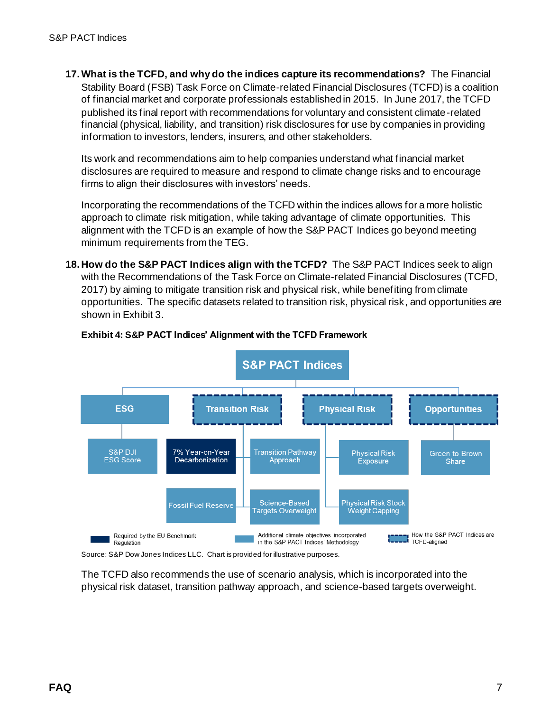**17.What is the TCFD, and why do the indices capture its recommendations?** The Financial Stability Board (FSB) Task Force on Climate-related Financial Disclosures (TCFD) is a coalition of financial market and corporate professionals established in 2015. In June 2017, the TCFD published its final report with recommendations for voluntary and consistent climate-related financial (physical, liability, and transition) risk disclosures for use by companies in providing information to investors, lenders, insurers, and other stakeholders.

Its work and recommendations aim to help companies understand what financial market disclosures are required to measure and respond to climate change risks and to encourage firms to align their disclosures with investors' needs.

Incorporating the recommendations of the TCFD within the indices allows for a more holistic approach to climate risk mitigation, while taking advantage of climate opportunities. This alignment with the TCFD is an example of how the S&P PACT Indices go beyond meeting minimum requirements from the TEG.

**18. How do the S&P PACT Indices align with the TCFD?** The S&P PACT Indices seek to align with the Recommendations of the Task Force on Climate-related Financial Disclosures (TCFD, 2017) by aiming to mitigate transition risk and physical risk, while benefiting from climate opportunities. The specific datasets related to transition risk, physical risk, and opportunities are shown in Exhibit 3.



#### **Exhibit 4: S&P PACT Indices' Alignment with the TCFD Framework**

Source: S&P Dow Jones Indices LLC. Chart is provided for illustrative purposes.

The TCFD also recommends the use of scenario analysis, which is incorporated into the physical risk dataset, transition pathway approach, and science-based targets overweight.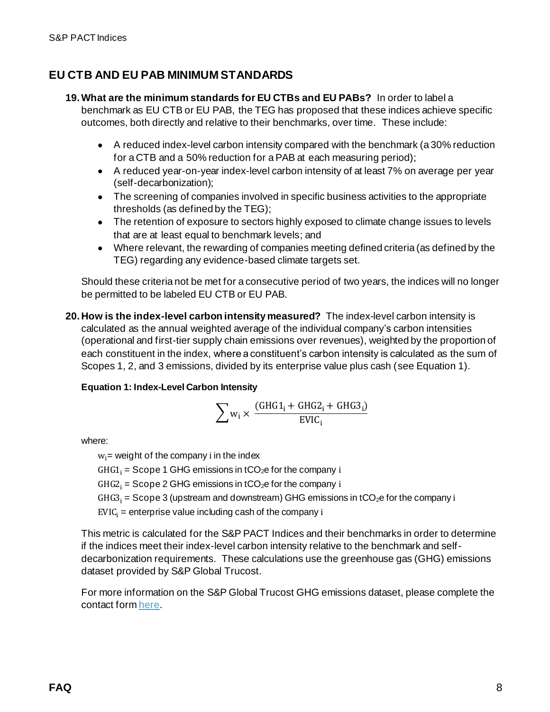## **EU CTB AND EU PAB MINIMUM STANDARDS**

**19.What are the minimum standards for EU CTBs and EU PABs?** In order to label a benchmark as EU CTB or EU PAB, the TEG has proposed that these indices achieve specific outcomes, both directly and relative to their benchmarks, over time. These include:

- A reduced index-level carbon intensity compared with the benchmark (a 30% reduction for a CTB and a 50% reduction for a PAB at each measuring period);
- A reduced year-on-year index-level carbon intensity of at least 7% on average per year (self-decarbonization);
- The screening of companies involved in specific business activities to the appropriate thresholds (as defined by the TEG);
- The retention of exposure to sectors highly exposed to climate change issues to levels that are at least equal to benchmark levels; and
- Where relevant, the rewarding of companies meeting defined criteria (as defined by the TEG) regarding any evidence-based climate targets set.

Should these criteria not be met for a consecutive period of two years, the indices will no longer be permitted to be labeled EU CTB or EU PAB.

**20. How is the index-level carbon intensity measured?** The index-level carbon intensity is calculated as the annual weighted average of the individual company's carbon intensities (operational and first-tier supply chain emissions over revenues), weighted by the proportion of each constituent in the index, where a constituent's carbon intensity is calculated as the sum of Scopes 1, 2, and 3 emissions, divided by its enterprise value plus cash (see Equation 1).

## **Equation 1: Index-Level Carbon Intensity**

$$
\sum w_i \times \frac{(GHG1_i+GHG2_i+GHG3_i)}{EVC_i}
$$

where:

 $w_i$  = weight of the company i in the index  $GHG1_i = \text{Scope 1 GHz}$  emissions in tCO<sub>2</sub>e for the company i  $GHG2<sub>i</sub> = \text{Scope 2 GHG emissions in tCO}_2e$  for the company i  $GHG3<sub>i</sub> = \text{Scope 3 (up stream and downstream)} \text{ GHz emission} \sin t \text{CO}_2e$  for the company i  $EVIC_i$  = enterprise value including cash of the company i

This metric is calculated for the S&P PACT Indices and their benchmarks in order to determine if the indices meet their index-level carbon intensity relative to the benchmark and selfdecarbonization requirements. These calculations use the greenhouse gas (GHG) emissions dataset provided by S&P Global Trucost.

For more information on the S&P Global Trucost GHG emissions dataset, please complete the contact for[m here.](https://pages.marketintelligence.spglobal.com/Talk-to-an-ESG-Specialist)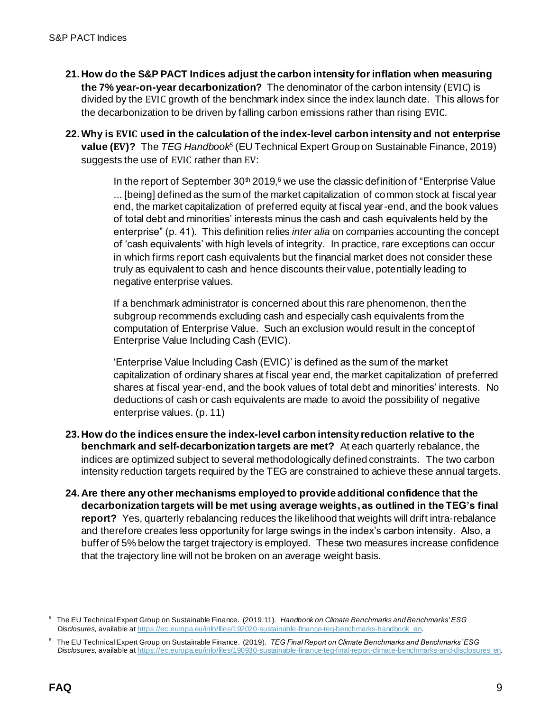- **21. How do the S&P PACT Indices adjust the carbon intensity for inflation when measuring the 7% year-on-year decarbonization?** The denominator of the carbon intensity (EVIC) is divided by the EVIC growth of the benchmark index since the index launch date. This allows for the decarbonization to be driven by falling carbon emissions rather than rising EVIC.
- **22.Why is used in the calculation of the index-level carbon intensity and not enterprise value (EV)?** The *TEG Handbook<sup>5</sup>* (EU Technical Expert Group on Sustainable Finance, 2019) suggests the use of EVIC rather than EV:

In the report of September  $30<sup>th</sup> 2019<sub>1</sub>$ <sup>6</sup> we use the classic definition of "Enterprise Value ... [being] defined as the sum of the market capitalization of common stock at fiscal year end, the market capitalization of preferred equity at fiscal year-end, and the book values of total debt and minorities' interests minus the cash and cash equivalents held by the enterprise" (p. 41). This definition relies *inter alia* on companies accounting the concept of 'cash equivalents' with high levels of integrity. In practice, rare exceptions can occur in which firms report cash equivalents but the financial market does not consider these truly as equivalent to cash and hence discounts their value, potentially leading to negative enterprise values.

If a benchmark administrator is concerned about this rare phenomenon, then the subgroup recommends excluding cash and especially cash equivalents from the computation of Enterprise Value. Such an exclusion would result in the concept of Enterprise Value Including Cash (EVIC).

'Enterprise Value Including Cash (EVIC)' is defined as the sum of the market capitalization of ordinary shares at fiscal year end, the market capitalization of preferred shares at fiscal year-end, and the book values of total debt and minorities' interests. No deductions of cash or cash equivalents are made to avoid the possibility of negative enterprise values. (p. 11)

- **23. How do the indices ensure the index-level carbon intensity reduction relative to the benchmark and self-decarbonization targets are met?** At each quarterly rebalance, the indices are optimized subject to several methodologically defined constraints. The two carbon intensity reduction targets required by the TEG are constrained to achieve these annual targets.
- **24. Are there any other mechanisms employed to provide additional confidence that the decarbonization targets will be met using average weights, as outlined in the TEG's final report?** Yes, quarterly rebalancing reduces the likelihood that weights will drift intra-rebalance and therefore creates less opportunity for large swings in the index's carbon intensity. Also, a buffer of 5% below the target trajectory is employed. These two measures increase confidence that the trajectory line will not be broken on an average weight basis.

<sup>5</sup> The EU Technical Expert Group on Sustainable Finance. (2019:11). *Handbook on Climate Benchmarks and Benchmarks' ESG Disclosures,* available a[t https://ec.europa.eu/info/files/192020-sustainable-finance-teg-benchmarks-handbook\\_en](https://ec.europa.eu/info/files/192020-sustainable-finance-teg-benchmarks-handbook_en).

<sup>6</sup> The EU Technical Expert Group on Sustainable Finance. (2019). *TEG Final Report on Climate Benchmarks and Benchmarks' ESG Disclosures,* available a[t https://ec.europa.eu/info/files/190930-sustainable-finance-teg-final-report-climate-benchmarks-and-disclosures\\_en.](https://ec.europa.eu/info/files/190930-sustainable-finance-teg-final-report-climate-benchmarks-and-disclosures_en)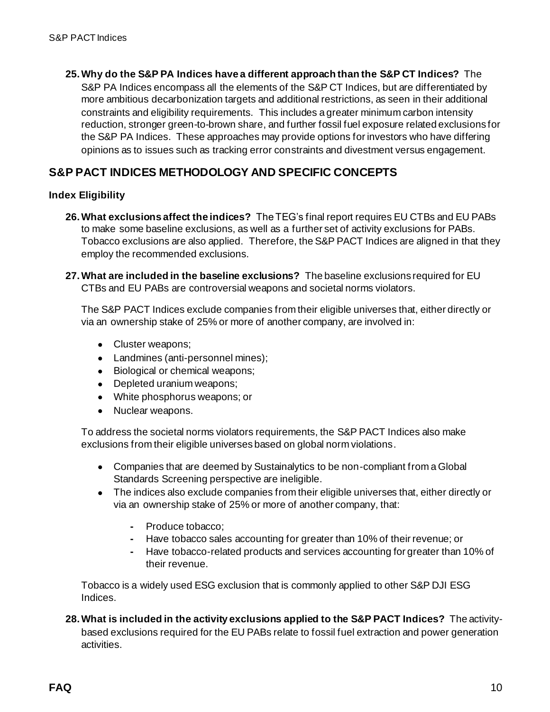**25.Why do the S&P PA Indices have a different approach than the S&P CT Indices?** The

S&P PA Indices encompass all the elements of the S&P CT Indices, but are differentiated by more ambitious decarbonization targets and additional restrictions, as seen in their additional constraints and eligibility requirements. This includes a greater minimum carbon intensity reduction, stronger green-to-brown share, and further fossil fuel exposure related exclusions for the S&P PA Indices. These approaches may provide options for investors who have differing opinions as to issues such as tracking error constraints and divestment versus engagement.

## **S&P PACT INDICES METHODOLOGY AND SPECIFIC CONCEPTS**

### **Index Eligibility**

- **26.What exclusions affect the indices?** The TEG's final report requires EU CTBs and EU PABs to make some baseline exclusions, as well as a further set of activity exclusions for PABs. Tobacco exclusions are also applied. Therefore, the S&P PACT Indices are aligned in that they employ the recommended exclusions.
- **27.What are included in the baseline exclusions?** The baseline exclusions required for EU CTBs and EU PABs are controversial weapons and societal norms violators.

The S&P PACT Indices exclude companies from their eligible universes that, either directly or via an ownership stake of 25% or more of another company, are involved in:

- Cluster weapons;
- Landmines (anti-personnel mines);
- Biological or chemical weapons;
- Depleted uranium weapons;
- White phosphorus weapons; or
- Nuclear weapons.

To address the societal norms violators requirements, the S&P PACT Indices also make exclusions from their eligible universes based on global norm violations.

- Companies that are deemed by Sustainalytics to be non-compliant from a Global Standards Screening perspective are ineligible.
- The indices also exclude companies from their eligible universes that, either directly or via an ownership stake of 25% or more of another company, that:
	- **-** Produce tobacco;
	- **-** Have tobacco sales accounting for greater than 10% of their revenue; or
	- **-** Have tobacco-related products and services accounting for greater than 10% of their revenue.

Tobacco is a widely used ESG exclusion that is commonly applied to other S&P DJI ESG Indices.

**28.What is included in the activity exclusions applied to the S&P PACT Indices?** The activitybased exclusions required for the EU PABs relate to fossil fuel extraction and power generation activities.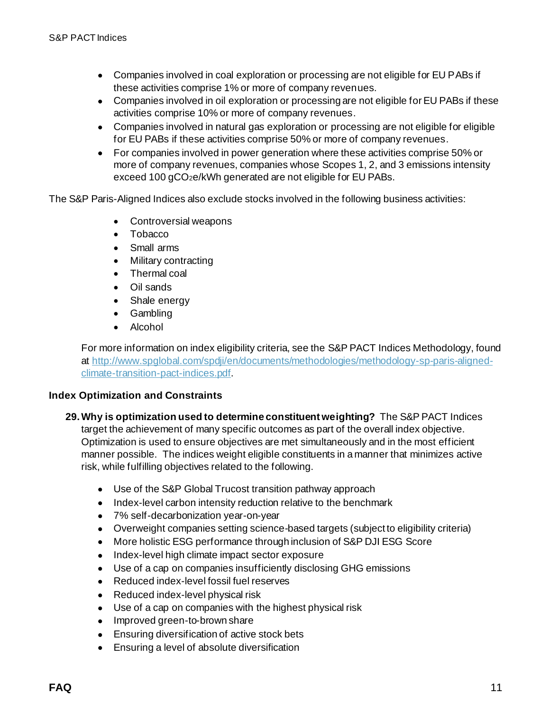- Companies involved in coal exploration or processing are not eligible for EU PABs if these activities comprise 1% or more of company revenues.
- Companies involved in oil exploration or processing are not eligible for EU PABs if these activities comprise 10% or more of company revenues.
- Companies involved in natural gas exploration or processing are not eligible for eligible for EU PABs if these activities comprise 50% or more of company revenues.
- For companies involved in power generation where these activities comprise 50% or more of company revenues, companies whose Scopes 1, 2, and 3 emissions intensity exceed 100 gCO<sub>2</sub>e/kWh generated are not eligible for EU PABs.

The S&P Paris-Aligned Indices also exclude stocks involved in the following business activities:

- Controversial weapons
- Tobacco
- Small arms
- Military contracting
- Thermal coal
- Oil sands
- Shale energy
- Gambling
- Alcohol

For more information on index eligibility criteria, see the S&P PACT Indices Methodology, found at [http://www.spglobal.com/spdji/en/documents/methodologies/methodology-sp-paris-aligned](http://www.spglobal.com/spdji/en/documents/methodologies/methodology-sp-paris-aligned-climate-transition-pact-indices.pdf?utm_source=pdf_education)[climate-transition-pact-indices.pdf](http://www.spglobal.com/spdji/en/documents/methodologies/methodology-sp-paris-aligned-climate-transition-pact-indices.pdf?utm_source=pdf_education).

#### **Index Optimization and Constraints**

- **29.Why is optimization used to determine constituent weighting?** The S&P PACT Indices target the achievement of many specific outcomes as part of the overall index objective. Optimization is used to ensure objectives are met simultaneously and in the most efficient manner possible. The indices weight eligible constituents in a manner that minimizes active risk, while fulfilling objectives related to the following.
	- Use of the S&P Global Trucost transition pathway approach
	- Index-level carbon intensity reduction relative to the benchmark
	- 7% self-decarbonization year-on-year
	- Overweight companies setting science-based targets (subject to eligibility criteria)
	- More holistic ESG performance through inclusion of S&P DJI ESG Score
	- Index-level high climate impact sector exposure
	- Use of a cap on companies insufficiently disclosing GHG emissions
	- Reduced index-level fossil fuel reserves
	- Reduced index-level physical risk
	- Use of a cap on companies with the highest physical risk
	- Improved green-to-brown share
	- Ensuring diversification of active stock bets
	- Ensuring a level of absolute diversification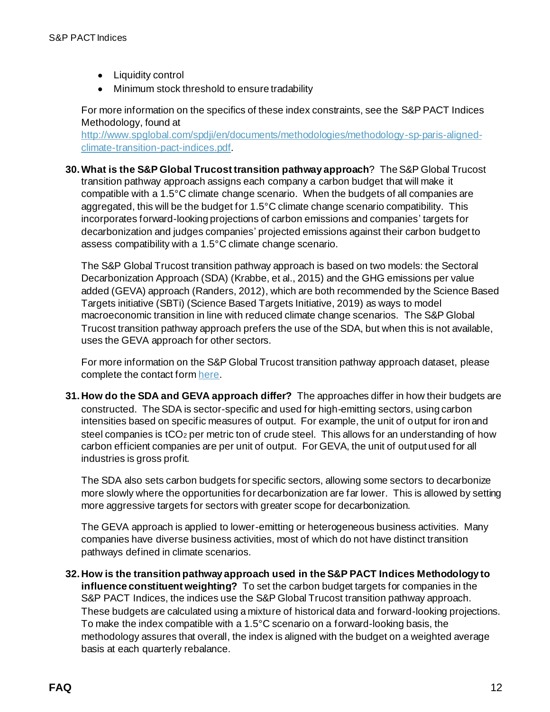- Liquidity control
- Minimum stock threshold to ensure tradability

For more information on the specifics of these index constraints, see the S&P PACT Indices Methodology, found at

[http://www.spglobal.com/spdji/en/documents/methodologies/methodology-sp-paris-aligned](http://www.spglobal.com/spdji/en/documents/methodologies/methodology-sp-paris-aligned-climate-transition-pact-indices.pdf?utm_source=pdf_education)[climate-transition-pact-indices.pdf](http://www.spglobal.com/spdji/en/documents/methodologies/methodology-sp-paris-aligned-climate-transition-pact-indices.pdf?utm_source=pdf_education).

**30.What is the S&P Global Trucost transition pathway approach**? The S&P Global Trucost transition pathway approach assigns each company a carbon budget that will make it compatible with a 1.5°C climate change scenario. When the budgets of all companies are aggregated, this will be the budget for 1.5°C climate change scenario compatibility. This incorporates forward-looking projections of carbon emissions and companies' targets for decarbonization and judges companies' projected emissions against their carbon budget to assess compatibility with a 1.5°C climate change scenario.

The S&P Global Trucost transition pathway approach is based on two models: the Sectoral Decarbonization Approach (SDA) (Krabbe, et al., 2015) and the GHG emissions per value added (GEVA) approach (Randers, 2012), which are both recommended by the Science Based Targets initiative (SBTi) (Science Based Targets Initiative, 2019) as ways to model macroeconomic transition in line with reduced climate change scenarios. The S&P Global Trucost transition pathway approach prefers the use of the SDA, but when this is not available, uses the GEVA approach for other sectors.

For more information on the S&P Global Trucost transition pathway approach dataset, please complete the contact for[m here](https://pages.marketintelligence.spglobal.com/Talk-to-an-ESG-Specialist).

**31. How do the SDA and GEVA approach differ?** The approaches differ in how their budgets are constructed. The SDA is sector-specific and used for high-emitting sectors, using carbon intensities based on specific measures of output. For example, the unit of output for iron and steel companies is tCO<sub>2</sub> per metric ton of crude steel. This allows for an understanding of how carbon efficient companies are per unit of output. For GEVA, the unit of output used for all industries is gross profit.

The SDA also sets carbon budgets for specific sectors, allowing some sectors to decarbonize more slowly where the opportunities for decarbonization are far lower. This is allowed by setting more aggressive targets for sectors with greater scope for decarbonization.

The GEVA approach is applied to lower-emitting or heterogeneous business activities. Many companies have diverse business activities, most of which do not have distinct transition pathways defined in climate scenarios.

**32. How is the transition pathway approach used in the S&P PACT Indices Methodology to influence constituent weighting?** To set the carbon budget targets for companies in the S&P PACT Indices, the indices use the S&P Global Trucost transition pathway approach. These budgets are calculated using a mixture of historical data and forward-looking projections. To make the index compatible with a 1.5°C scenario on a forward-looking basis, the methodology assures that overall, the index is aligned with the budget on a weighted average basis at each quarterly rebalance.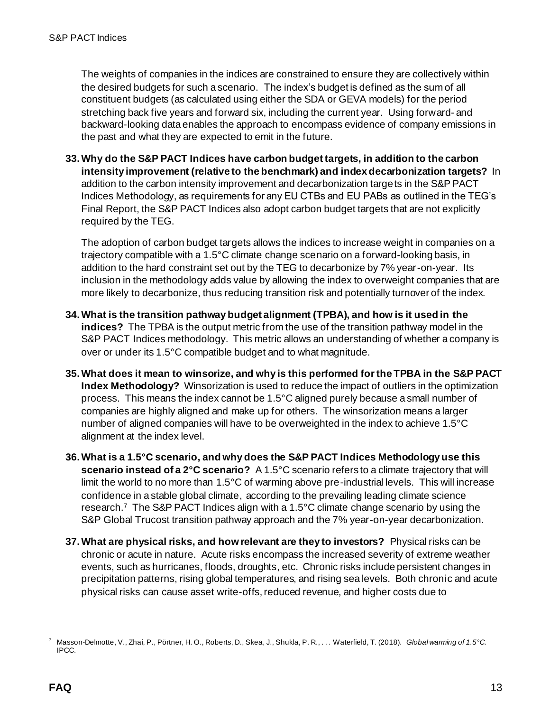The weights of companies in the indices are constrained to ensure they are collectively within the desired budgets for such a scenario. The index's budget is defined as the sum of all constituent budgets (as calculated using either the SDA or GEVA models) for the period stretching back five years and forward six, including the current year. Using forward- and backward-looking data enables the approach to encompass evidence of company emissions in the past and what they are expected to emit in the future.

**33.Why do the S&P PACT Indices have carbon budget targets, in addition to the carbon intensity improvement (relative to the benchmark) and index decarbonization targets?** In addition to the carbon intensity improvement and decarbonization targets in the S&P PACT Indices Methodology, as requirements for any EU CTBs and EU PABs as outlined in the TEG's Final Report, the S&P PACT Indices also adopt carbon budget targets that are not explicitly required by the TEG.

The adoption of carbon budget targets allows the indices to increase weight in companies on a trajectory compatible with a 1.5°C climate change scenario on a forward-looking basis, in addition to the hard constraint set out by the TEG to decarbonize by 7% year-on-year. Its inclusion in the methodology adds value by allowing the index to overweight companies that are more likely to decarbonize, thus reducing transition risk and potentially turnover of the index.

- **34.What is the transition pathway budget alignment (TPBA), and how is it used in the indices?** The TPBA is the output metric from the use of the transition pathway model in the S&P PACT Indices methodology. This metric allows an understanding of whether a company is over or under its 1.5°C compatible budget and to what magnitude.
- **35.What does it mean to winsorize, and why is this performed for the TPBA in the S&P PACT Index Methodology?** Winsorization is used to reduce the impact of outliers in the optimization process. This means the index cannot be 1.5°C aligned purely because a small number of companies are highly aligned and make up for others. The winsorization means a larger number of aligned companies will have to be overweighted in the index to achieve 1.5°C alignment at the index level.
- **36.What is a 1.5°C scenario, and why does the S&P PACT Indices Methodology use this scenario instead of a 2°C scenario?** A 1.5°C scenario refers to a climate trajectory that will limit the world to no more than 1.5°C of warming above pre-industrial levels. This will increase confidence in a stable global climate, according to the prevailing leading climate science research. 7 The S&P PACT Indices align with a 1.5°C climate change scenario by using the S&P Global Trucost transition pathway approach and the 7% year-on-year decarbonization.
- **37.What are physical risks, and how relevant are they to investors?** Physical risks can be chronic or acute in nature. Acute risks encompass the increased severity of extreme weather events, such as hurricanes, floods, droughts, etc. Chronic risks include persistent changes in precipitation patterns, rising global temperatures, and rising sea levels. Both chronic and acute physical risks can cause asset write-offs, reduced revenue, and higher costs due to

<sup>7</sup> Masson-Delmotte, V., Zhai, P., Pörtner, H. O., Roberts, D., Skea, J., Shukla, P. R., . . . Waterfield, T. (2018). *Global warming of 1.5°C.*  IPCC.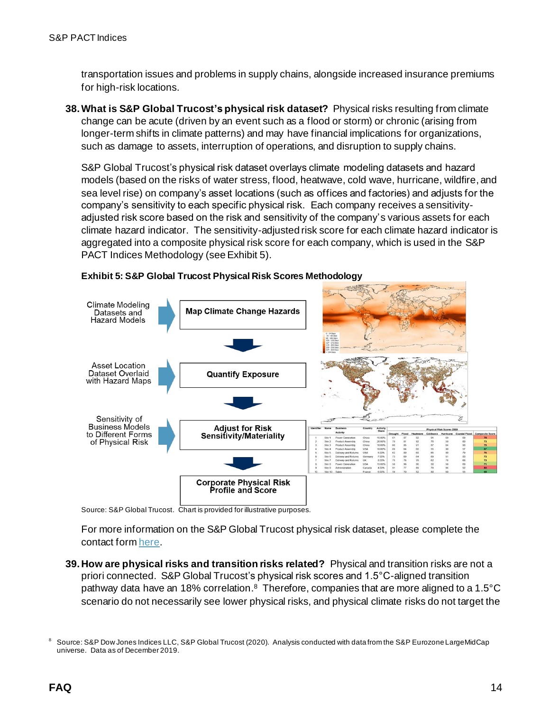transportation issues and problems in supply chains, alongside increased insurance premiums for high-risk locations.

**38.What is S&P Global Trucost's physical risk dataset?** Physical risks resulting from climate change can be acute (driven by an event such as a flood or storm) or chronic (arising from longer-term shifts in climate patterns) and may have financial implications for organizations, such as damage to assets, interruption of operations, and disruption to supply chains.

S&P Global Trucost's physical risk dataset overlays climate modeling datasets and hazard models (based on the risks of water stress, flood, heatwave, cold wave, hurricane, wildfire, and sea level rise) on company's asset locations (such as offices and factories) and adjusts for the company's sensitivity to each specific physical risk. Each company receives a sensitivityadjusted risk score based on the risk and sensitivity of the company's various assets for each climate hazard indicator. The sensitivity-adjusted risk score for each climate hazard indicator is aggregated into a composite physical risk score for each company, which is used in the S&P PACT Indices Methodology (see Exhibit 5).



#### **Exhibit 5: S&P Global Trucost Physical Risk Scores Methodology**

Source: S&P Global Trucost. Chart is provided for illustrative purposes.

For more information on the S&P Global Trucost physical risk dataset, please complete the contact for[m here.](https://pages.marketintelligence.spglobal.com/Talk-to-an-ESG-Specialist)

**39. How are physical risks and transition risks related?** Physical and transition risks are not a priori connected. S&P Global Trucost's physical risk scores and 1.5°C-aligned transition pathway data have an 18% correlation.<sup>8</sup> Therefore, companies that are more aligned to a 1.5°C scenario do not necessarily see lower physical risks, and physical climate risks do not target the

<sup>8</sup> Source: S&P Dow Jones Indices LLC, S&P Global Trucost (2020). Analysis conducted with data from the S&P Eurozone LargeMidCap universe. Data as of December 2019.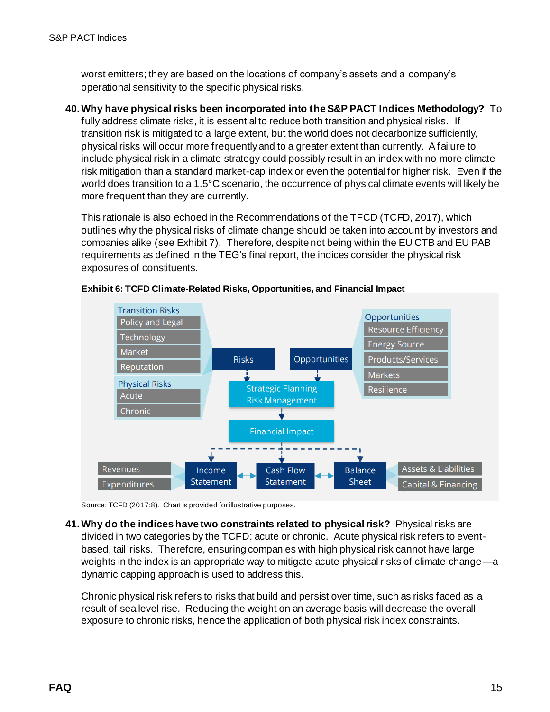worst emitters; they are based on the locations of company's assets and a company's operational sensitivity to the specific physical risks.

#### **40.Why have physical risks been incorporated into the S&P PACT Indices Methodology?** To

fully address climate risks, it is essential to reduce both transition and physical risks. If transition risk is mitigated to a large extent, but the world does not decarbonize sufficiently, physical risks will occur more frequently and to a greater extent than currently. A failure to include physical risk in a climate strategy could possibly result in an index with no more climate risk mitigation than a standard market-cap index or even the potential for higher risk. Even if the world does transition to a 1.5°C scenario, the occurrence of physical climate events will likely be more frequent than they are currently.

This rationale is also echoed in the Recommendations of the TFCD (TCFD, 2017), which outlines why the physical risks of climate change should be taken into account by investors and companies alike (see Exhibit 7). Therefore, despite not being within the EU CTB and EU PAB requirements as defined in the TEG's final report, the indices consider the physical risk exposures of constituents.



**Exhibit 6: TCFD Climate-Related Risks, Opportunities, and Financial Impact**

Source: TCFD (2017:8). Chart is provided for illustrative purposes.

**41.Why do the indices have two constraints related to physical risk?** Physical risks are divided in two categories by the TCFD: acute or chronic. Acute physical risk refers to eventbased, tail risks. Therefore, ensuring companies with high physical risk cannot have large weights in the index is an appropriate way to mitigate acute physical risks of climate change—a dynamic capping approach is used to address this.

Chronic physical risk refers to risks that build and persist over time, such as risks faced as a result of sea level rise. Reducing the weight on an average basis will decrease the overall exposure to chronic risks, hence the application of both physical risk index constraints.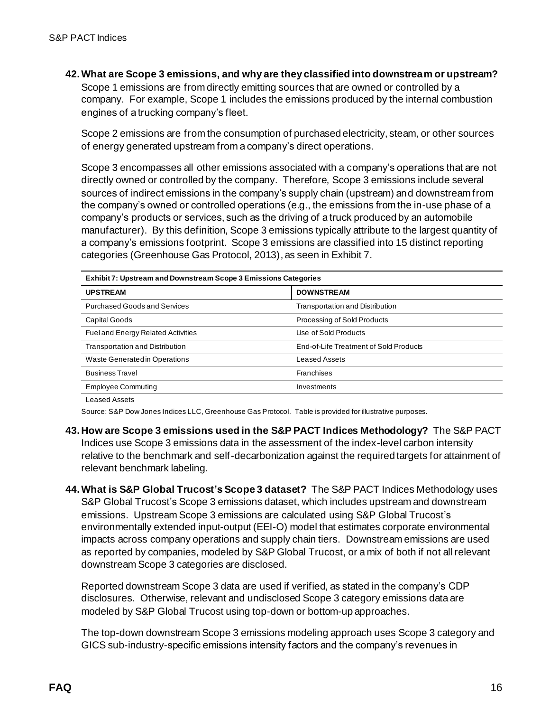**42.What are Scope 3 emissions, and why are they classified into downstream or upstream?** 

Scope 1 emissions are from directly emitting sources that are owned or controlled by a company. For example, Scope 1 includes the emissions produced by the internal combustion engines of a trucking company's fleet.

Scope 2 emissions are from the consumption of purchased electricity, steam, or other sources of energy generated upstream from a company's direct operations.

Scope 3 encompasses all other emissions associated with a company's operations that are not directly owned or controlled by the company. Therefore, Scope 3 emissions include several sources of indirect emissions in the company's supply chain (upstream) and downstream from the company's owned or controlled operations (e.g., the emissions from the in-use phase of a company's products or services, such as the driving of a truck produced by an automobile manufacturer). By this definition, Scope 3 emissions typically attribute to the largest quantity of a company's emissions footprint. Scope 3 emissions are classified into 15 distinct reporting categories (Greenhouse Gas Protocol, 2013), as seen in Exhibit 7.

| Exhibit 7: Upstream and Downstream Scope 3 Emissions Categories |                                        |  |
|-----------------------------------------------------------------|----------------------------------------|--|
| <b>UPSTREAM</b>                                                 | <b>DOWNSTREAM</b>                      |  |
| <b>Purchased Goods and Services</b>                             | <b>Transportation and Distribution</b> |  |
| Capital Goods                                                   | Processing of Sold Products            |  |
| <b>Fuel and Energy Related Activities</b>                       | Use of Sold Products                   |  |
| <b>Transportation and Distribution</b>                          | End-of-Life Treatment of Sold Products |  |
| Waste Generated in Operations                                   | Leased Assets                          |  |
| <b>Business Travel</b>                                          | Franchises                             |  |
| <b>Employee Commuting</b>                                       | Investments                            |  |
| Leased Assets                                                   |                                        |  |

Source: S&P Dow Jones Indices LLC, Greenhouse Gas Protocol. Table is provided for illustrative purposes.

- **43. How are Scope 3 emissions used in the S&P PACT Indices Methodology?** The S&P PACT Indices use Scope 3 emissions data in the assessment of the index-level carbon intensity relative to the benchmark and self-decarbonization against the required targets for attainment of relevant benchmark labeling.
- **44.What is S&P Global Trucost's Scope 3 dataset?** The S&P PACT Indices Methodology uses S&P Global Trucost's Scope 3 emissions dataset, which includes upstream and downstream emissions. Upstream Scope 3 emissions are calculated using S&P Global Trucost's environmentally extended input-output (EEI-O) model that estimates corporate environmental impacts across company operations and supply chain tiers. Downstream emissions are used as reported by companies, modeled by S&P Global Trucost, or a mix of both if not all relevant downstream Scope 3 categories are disclosed.

Reported downstream Scope 3 data are used if verified, as stated in the company's CDP disclosures. Otherwise, relevant and undisclosed Scope 3 category emissions data are modeled by S&P Global Trucost using top-down or bottom-up approaches.

The top-down downstream Scope 3 emissions modeling approach uses Scope 3 category and GICS sub-industry-specific emissions intensity factors and the company's revenues in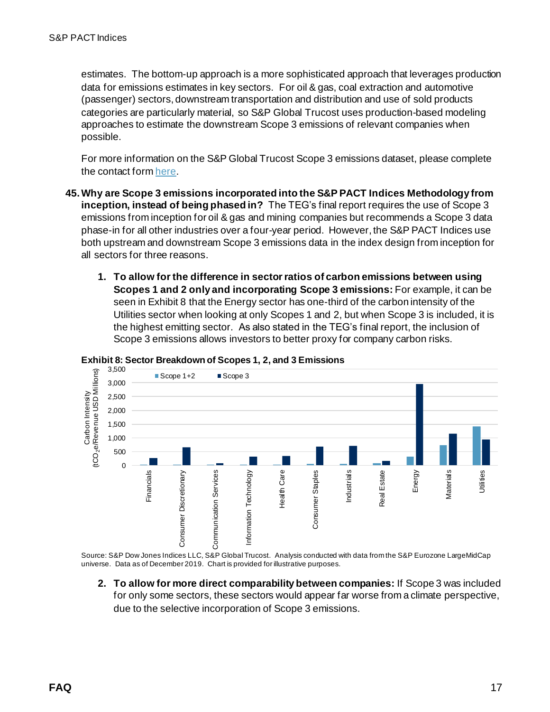estimates. The bottom-up approach is a more sophisticated approach that leverages production data for emissions estimates in key sectors. For oil & gas, coal extraction and automotive (passenger) sectors, downstream transportation and distribution and use of sold products categories are particularly material, so S&P Global Trucost uses production-based modeling approaches to estimate the downstream Scope 3 emissions of relevant companies when possible.

For more information on the S&P Global Trucost Scope 3 emissions dataset, please complete the contact for[m here](https://pages.marketintelligence.spglobal.com/Talk-to-an-ESG-Specialist).

- **45.Why are Scope 3 emissions incorporated into the S&P PACT Indices Methodology from inception, instead of being phased in?** The TEG's final report requires the use of Scope 3 emissions from inception for oil & gas and mining companies but recommends a Scope 3 data phase-in for all other industries over a four-year period. However, the S&P PACT Indices use both upstream and downstream Scope 3 emissions data in the index design from inception for all sectors for three reasons.
	- **1. To allow for the difference in sector ratios of carbon emissions between using Scopes 1 and 2 only and incorporating Scope 3 emissions:** For example, it can be seen in Exhibit 8 that the Energy sector has one-third of the carbon intensity of the Utilities sector when looking at only Scopes 1 and 2, but when Scope 3 is included, it is the highest emitting sector. As also stated in the TEG's final report, the inclusion of Scope 3 emissions allows investors to better proxy for company carbon risks.



#### **Exhibit 8: Sector Breakdown of Scopes 1, 2, and 3 Emissions**

Source: S&P Dow Jones Indices LLC, S&P Global Trucost. Analysis conducted with data from the S&P Eurozone LargeMidCap universe. Data as of December 2019. Chart is provided for illustrative purposes.

**2. To allow for more direct comparability between companies:** If Scope 3 was included for only some sectors, these sectors would appear far worse from a climate perspective, due to the selective incorporation of Scope 3 emissions.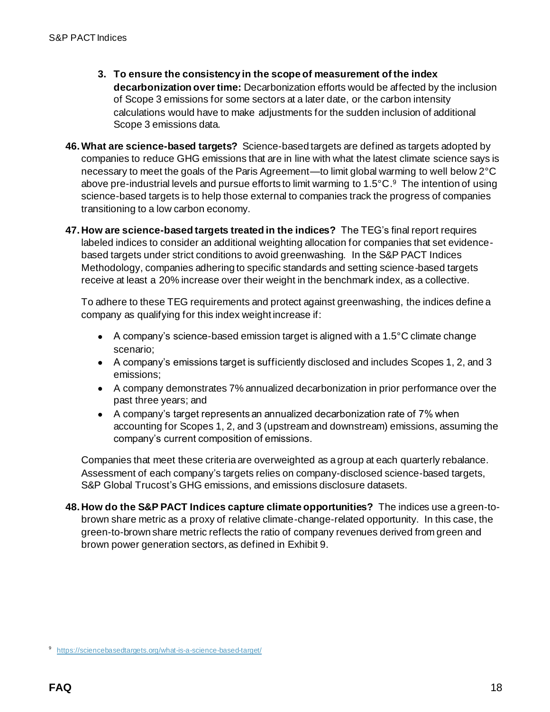- **3. To ensure the consistency in the scope of measurement of the index decarbonization over time:** Decarbonization efforts would be affected by the inclusion of Scope 3 emissions for some sectors at a later date, or the carbon intensity calculations would have to make adjustments for the sudden inclusion of additional Scope 3 emissions data.
- **46.What are science-based targets?** Science-based targets are defined as targets adopted by companies to reduce GHG emissions that are in line with what the latest climate science says is necessary to meet the goals of the Paris Agreement—to limit global warming to well below 2°C above pre-industrial levels and pursue efforts to limit warming to 1.5°C. <sup>9</sup> The intention of using science-based targets is to help those external to companies track the progress of companies transitioning to a low carbon economy.
- **47. How are science-based targets treated in the indices?** The TEG's final report requires labeled indices to consider an additional weighting allocation for companies that set evidencebased targets under strict conditions to avoid greenwashing. In the S&P PACT Indices Methodology, companies adhering to specific standards and setting science-based targets receive at least a 20% increase over their weight in the benchmark index, as a collective.

To adhere to these TEG requirements and protect against greenwashing, the indices define a company as qualifying for this index weight increase if:

- A company's science-based emission target is aligned with a 1.5°C climate change scenario;
- A company's emissions target is sufficiently disclosed and includes Scopes 1, 2, and 3 emissions;
- A company demonstrates 7% annualized decarbonization in prior performance over the past three years; and
- A company's target represents an annualized decarbonization rate of 7% when accounting for Scopes 1, 2, and 3 (upstream and downstream) emissions, assuming the company's current composition of emissions.

Companies that meet these criteria are overweighted as a group at each quarterly rebalance. Assessment of each company's targets relies on company-disclosed science-based targets, S&P Global Trucost's GHG emissions, and emissions disclosure datasets.

**48. How do the S&P PACT Indices capture climate opportunities?** The indices use a green-tobrown share metric as a proxy of relative climate-change-related opportunity. In this case, the green-to-brown share metric reflects the ratio of company revenues derived from green and brown power generation sectors, as defined in Exhibit 9.

<sup>9</sup> <https://sciencebasedtargets.org/what-is-a-science-based-target/>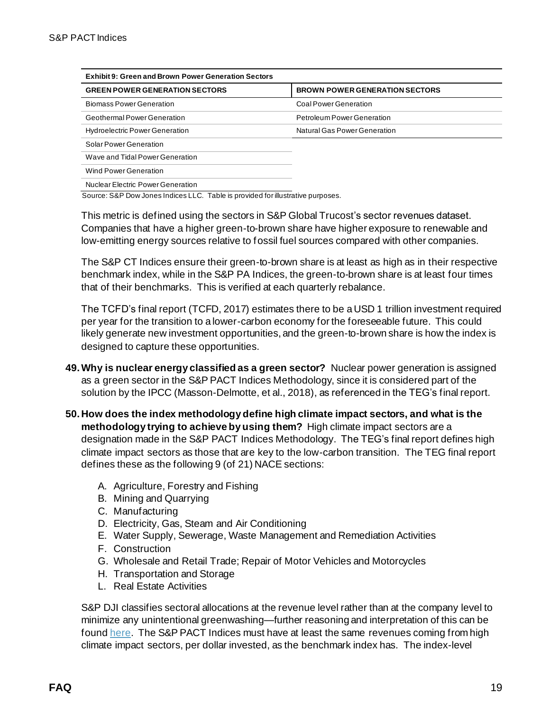| <b>Exhibit 9: Green and Brown Power Generation Sectors</b> |                                       |  |
|------------------------------------------------------------|---------------------------------------|--|
| <b>GREEN POWER GENERATION SECTORS</b>                      | <b>BROWN POWER GENERATION SECTORS</b> |  |
| <b>Biomass Power Generation</b>                            | Coal Power Generation                 |  |
| <b>Geothermal Power Generation</b>                         | <b>Petroleum Power Generation</b>     |  |
| <b>Hydroelectric Power Generation</b>                      | Natural Gas Power Generation          |  |
| Solar Power Generation                                     |                                       |  |
| Wave and Tidal Power Generation                            |                                       |  |
| Wind Power Generation                                      |                                       |  |
| Nuclear Electric Power Generation                          |                                       |  |

Source: S&P Dow Jones Indices LLC. Table is provided for illustrative purposes.

This metric is defined using the sectors in S&P Global Trucost's sector revenues dataset. Companies that have a higher green-to-brown share have higher exposure to renewable and low-emitting energy sources relative to fossil fuel sources compared with other companies.

The S&P CT Indices ensure their green-to-brown share is at least as high as in their respective benchmark index, while in the S&P PA Indices, the green-to-brown share is at least four times that of their benchmarks. This is verified at each quarterly rebalance.

The TCFD's final report (TCFD, 2017) estimates there to be a USD 1 trillion investment required per year for the transition to a lower-carbon economy for the foreseeable future. This could likely generate new investment opportunities, and the green-to-brown share is how the index is designed to capture these opportunities.

- **49.Why is nuclear energy classified as a green sector?** Nuclear power generation is assigned as a green sector in the S&P PACT Indices Methodology, since it is considered part of the solution by the IPCC (Masson-Delmotte, et al., 2018), as referenced in the TEG's final report.
- **50. How does the index methodology define high climate impact sectors, and what is the methodology trying to achieve by using them?** High climate impact sectors are a designation made in the S&P PACT Indices Methodology. The TEG's final report defines high climate impact sectors as those that are key to the low-carbon transition. The TEG final report defines these as the following 9 (of 21) NACE sections:
	- A. Agriculture, Forestry and Fishing
	- B. Mining and Quarrying
	- C. Manufacturing
	- D. Electricity, Gas, Steam and Air Conditioning
	- E. Water Supply, Sewerage, Waste Management and Remediation Activities
	- F. Construction
	- G. Wholesale and Retail Trade; Repair of Motor Vehicles and Motorcycles
	- H. Transportation and Storage
	- L. Real Estate Activities

S&P DJI classifies sectoral allocations at the revenue level rather than at the company level to minimize any unintentional greenwashing—further reasoning and interpretation of this can be foun[d here](https://www.indexologyblog.com/2020/03/16/the-sp-eurozone-paris-aligned-climate-index-concept-a-greenwashing-minimization-approach-to-high-climate-impact-sector-neutrality/?utm_source=pdf_education). The S&P PACT Indices must have at least the same revenues coming from high climate impact sectors, per dollar invested, as the benchmark index has. The index-level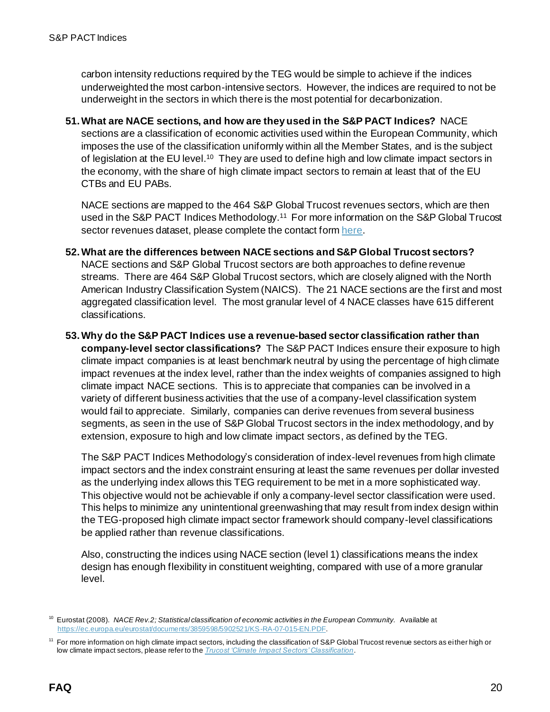carbon intensity reductions required by the TEG would be simple to achieve if the indices underweighted the most carbon-intensive sectors. However, the indices are required to not be underweight in the sectors in which there is the most potential for decarbonization.

**51.What are NACE sections, and how are they used in the S&P PACT Indices?** NACE sections are a classification of economic activities used within the European Community, which imposes the use of the classification uniformly within all the Member States, and is the subject of legislation at the EU level.<sup>10</sup> They are used to define high and low climate impact sectors in the economy, with the share of high climate impact sectors to remain at least that of the EU CTBs and EU PABs.

NACE sections are mapped to the 464 S&P Global Trucost revenues sectors, which are then used in the S&P PACT Indices Methodology.<sup>11</sup> For more information on the S&P Global Trucost sector revenues dataset, please complete the contact for[m here](https://pages.marketintelligence.spglobal.com/Talk-to-an-ESG-Specialist).

- **52.What are the differences between NACE sections and S&P Global Trucost sectors?**  NACE sections and S&P Global Trucost sectors are both approaches to define revenue streams. There are 464 S&P Global Trucost sectors, which are closely aligned with the North American Industry Classification System (NAICS). The 21 NACE sections are the first and most aggregated classification level. The most granular level of 4 NACE classes have 615 different classifications.
- **53.Why do the S&P PACT Indices use a revenue-based sector classification rather than company-level sector classifications?** The S&P PACT Indices ensure their exposure to high climate impact companies is at least benchmark neutral by using the percentage of high climate impact revenues at the index level, rather than the index weights of companies assigned to high climate impact NACE sections. This is to appreciate that companies can be involved in a variety of different business activities that the use of a company-level classification system would fail to appreciate. Similarly, companies can derive revenues from several business segments, as seen in the use of S&P Global Trucost sectors in the index methodology, and by extension, exposure to high and low climate impact sectors, as defined by the TEG.

The S&P PACT Indices Methodology's consideration of index-level revenues from high climate impact sectors and the index constraint ensuring at least the same revenues per dollar invested as the underlying index allows this TEG requirement to be met in a more sophisticated way. This objective would not be achievable if only a company-level sector classification were used. This helps to minimize any unintentional greenwashing that may result from index design within the TEG-proposed high climate impact sector framework should company-level classifications be applied rather than revenue classifications.

Also, constructing the indices using NACE section (level 1) classifications means the index design has enough flexibility in constituent weighting, compared with use of a more granular level.

<sup>10</sup> Eurostat (2008). *NACE Rev.2; Statistical classification of economic activities in the European Community.* Available at <https://ec.europa.eu/eurostat/documents/3859598/5902521/KS-RA-07-015-EN.PDF>.

<sup>&</sup>lt;sup>11</sup> For more information on high climate impact sectors, including the classification of S&P Global Trucost revenue sectors as either high or low climate impact sectors, please refer to the *[Trucost 'Climate Impact Sectors' Classification](https://www.spglobal.com/spdji/en/documents/additional-material/trucost-climate-impact-sectors-classification.pdf?utm_source=pdf_education)*.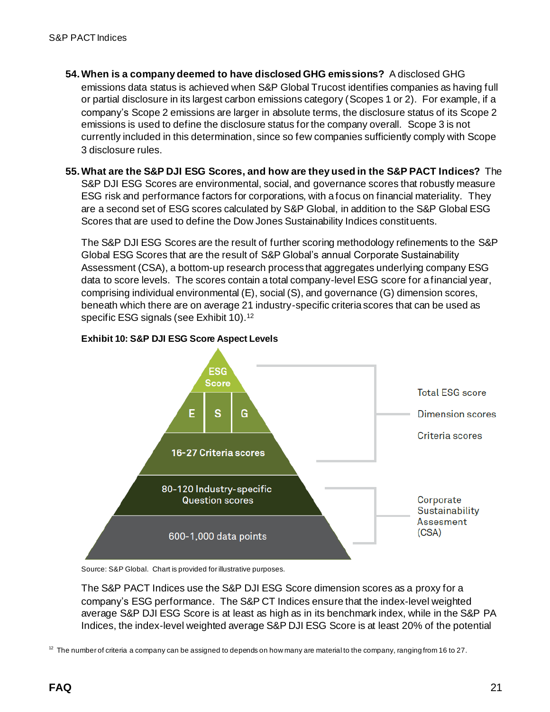- **54.When is a company deemed to have disclosed GHG emissions?** A disclosed GHG emissions data status is achieved when S&P Global Trucost identifies companies as having full or partial disclosure in its largest carbon emissions category (Scopes 1 or 2). For example, if a company's Scope 2 emissions are larger in absolute terms, the disclosure status of its Scope 2 emissions is used to define the disclosure status for the company overall. Scope 3 is not currently included in this determination, since so few companies sufficiently comply with Scope 3 disclosure rules.
- **55.What are the S&P DJI ESG Scores, and how are they used in the S&P PACT Indices?** The S&P DJI ESG Scores are environmental, social, and governance scores that robustly measure ESG risk and performance factors for corporations, with a focus on financial materiality. They are a second set of ESG scores calculated by S&P Global, in addition to the S&P Global ESG Scores that are used to define the Dow Jones Sustainability Indices constituents.

The S&P DJI ESG Scores are the result of further scoring methodology refinements to the S&P Global ESG Scores that are the result of S&P Global's annual Corporate Sustainability Assessment (CSA), a bottom-up research process that aggregates underlying company ESG data to score levels. The scores contain a total company-level ESG score for a financial year, comprising individual environmental (E), social (S), and governance (G) dimension scores, beneath which there are on average 21 industry-specific criteria scores that can be used as specific ESG signals (see Exhibit 10).<sup>12</sup>



#### **Exhibit 10: S&P DJI ESG Score Aspect Levels**

Source: S&P Global. Chart is provided for illustrative purposes.

The S&P PACT Indices use the S&P DJI ESG Score dimension scores as a proxy for a company's ESG performance. The S&P CT Indices ensure that the index-level weighted average S&P DJI ESG Score is at least as high as in its benchmark index, while in the S&P PA Indices, the index-level weighted average S&P DJI ESG Score is at least 20% of the potential

 $12$  The number of criteria a company can be assigned to depends on how many are material to the company, ranging from 16 to 27.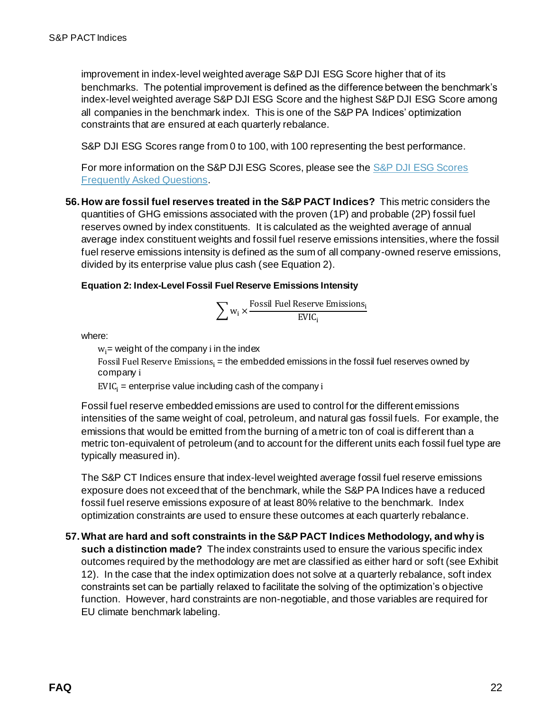improvement in index-level weighted average S&P DJI ESG Score higher that of its benchmarks. The potential improvement is defined as the difference between the benchmark's index-level weighted average S&P DJI ESG Score and the highest S&P DJI ESG Score among all companies in the benchmark index. This is one of the S&P PA Indices' optimization constraints that are ensured at each quarterly rebalance.

S&P DJI ESG Scores range from 0 to 100, with 100 representing the best performance.

For more information on the S&P DJI ESG Scores, please see th[e S&P DJI ESG Scores](https://www.spglobal.com/spdji/en/documents/additional-material/faq-spdji-esg-scores.pdf?utm_source=pdf_education)  [Frequently Asked Questions](https://www.spglobal.com/spdji/en/documents/additional-material/faq-spdji-esg-scores.pdf?utm_source=pdf_education).

**56. How are fossil fuel reserves treated in the S&P PACT Indices?** This metric considers the quantities of GHG emissions associated with the proven (1P) and probable (2P) fossil fuel reserves owned by index constituents. It is calculated as the weighted average of annual average index constituent weights and fossil fuel reserve emissions intensities, where the fossil fuel reserve emissions intensity is defined as the sum of all company-owned reserve emissions, divided by its enterprise value plus cash (see Equation 2).

#### **Equation 2: Index-Level Fossil Fuel Reserve Emissions Intensity**

$$
\sum w_i \times \frac{Fossil \; \text{Full Reserve Emissions}_i}{EVIC_i}
$$

where:

 $w_i$  = weight of the company i in the index

Fossil Fuel Reserve Emissions $_i$  = the embedded emissions in the fossil fuel reserves owned by company i

 $EVIC_i$  = enterprise value including cash of the company i

Fossil fuel reserve embedded emissions are used to control for the different emissions intensities of the same weight of coal, petroleum, and natural gas fossil fuels. For example, the emissions that would be emitted from the burning of a metric ton of coal is different than a metric ton-equivalent of petroleum (and to account for the different units each fossil fuel type are typically measured in).

The S&P CT Indices ensure that index-level weighted average fossil fuel reserve emissions exposure does not exceed that of the benchmark, while the S&P PA Indices have a reduced fossil fuel reserve emissions exposure of at least 80% relative to the benchmark. Index optimization constraints are used to ensure these outcomes at each quarterly rebalance.

**57.What are hard and soft constraints in the S&P PACT Indices Methodology, and why is such a distinction made?** The index constraints used to ensure the various specific index outcomes required by the methodology are met are classified as either hard or soft (see Exhibit 12). In the case that the index optimization does not solve at a quarterly rebalance, soft index constraints set can be partially relaxed to facilitate the solving of the optimization's objective function. However, hard constraints are non-negotiable, and those variables are required for EU climate benchmark labeling.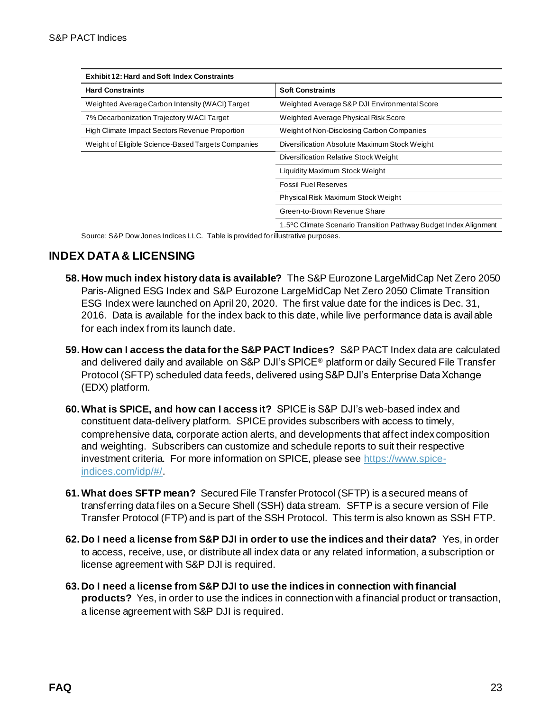| <b>Exhibit 12: Hard and Soft Index Constraints</b>                              |                                                                  |  |
|---------------------------------------------------------------------------------|------------------------------------------------------------------|--|
| <b>Hard Constraints</b>                                                         | <b>Soft Constraints</b>                                          |  |
| Weighted Average Carbon Intensity (WACI) Target                                 | Weighted Average S&P DJI Environmental Score                     |  |
| 7% Decarbonization Trajectory WACI Target                                       | Weighted Average Physical Risk Score                             |  |
| High Climate Impact Sectors Revenue Proportion                                  | Weight of Non-Disclosing Carbon Companies                        |  |
| Weight of Eligible Science-Based Targets Companies                              | Diversification Absolute Maximum Stock Weight                    |  |
|                                                                                 | Diversification Relative Stock Weight                            |  |
|                                                                                 | Liquidity Maximum Stock Weight                                   |  |
|                                                                                 | <b>Fossil Fuel Reserves</b>                                      |  |
|                                                                                 | Physical Risk Maximum Stock Weight                               |  |
|                                                                                 | Green-to-Brown Revenue Share                                     |  |
|                                                                                 | 1.5°C Climate Scenario Transition Pathway Budget Index Alignment |  |
| Source: S&P Dow Jones Indices LLC. Table is provided for illustrative purposes. |                                                                  |  |

**INDEX DATA & LICENSING**

- **58. How much index history data is available?** The S&P Eurozone LargeMidCap Net Zero 2050 Paris-Aligned ESG Index and S&P Eurozone LargeMidCap Net Zero 2050 Climate Transition ESG Index were launched on April 20, 2020. The first value date for the indices is Dec. 31, 2016. Data is available for the index back to this date, while live performance data is available for each index from its launch date.
- **59. How can I access the data for the S&P PACT Indices?** S&P PACT Index data are calculated and delivered daily and available on S&P DJI's SPICE<sup>®</sup> platform or daily Secured File Transfer Protocol (SFTP) scheduled data feeds, delivered using S&P DJI's Enterprise Data Xchange (EDX) platform.
- **60.What is SPICE, and how can I access it?** SPICE is S&P DJI's web-based index and constituent data-delivery platform. SPICE provides subscribers with access to timely, comprehensive data, corporate action alerts, and developments that affect index composition and weighting. Subscribers can customize and schedule reports to suit their respective investment criteria. For more information on SPICE, please see [https://www.spice](https://www.spice-indices.com/idp/#/)[indices.com/idp/#/](https://www.spice-indices.com/idp/#/).
- **61.What does SFTP mean?** Secured File Transfer Protocol (SFTP) is a secured means of transferring data files on a Secure Shell (SSH) data stream. SFTP is a secure version of File Transfer Protocol (FTP) and is part of the SSH Protocol. This term is also known as SSH FTP.
- **62. Do I need a license from S&P DJI in order to use the indices and their data?** Yes, in order to access, receive, use, or distribute all index data or any related information, a subscription or license agreement with S&P DJI is required.
- **63. Do I need a license from S&P DJI to use the indices in connection with financial products?** Yes, in order to use the indices in connection with a financial product or transaction, a license agreement with S&P DJI is required.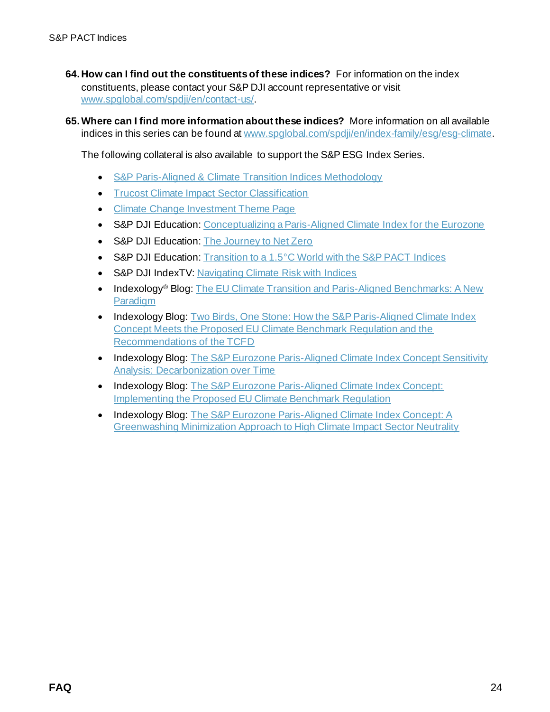- **64. How can I find out the constituents of these indices?** For information on the index constituents, please contact your S&P DJI account representative or visit [www.spglobal.com/spdji/en/contact-us/](https://www.spglobal.com/spdji/en/contact-us/?utm_source=pdf_education).
- **65.Where can I find more information about these indices?** More information on all available indices in this series can be found a[t www.spglobal.com/spdji/en/index-family/esg/esg-climate](https://www.spglobal.com/spdji/en/index-family/esg/esg-climate/?utm_source=pdf_education).

The following collateral is also available to support the S&P ESG Index Series.

- S&P Paris-Aligned & [Climate Transition Indices Methodology](https://www.spglobal.com/spdji/en/documents/methodologies/methodology-sp-paris-aligned-climate-transition-pact-indices.pdf?utm_source=pdf_education)
- Trucost [Climate Impact Sector Classification](https://www.spglobal.com/spdji/en/documents/additional-material/trucost-climate-impact-sectors-classification.pdf?utm_source=pdf_education)
- [Climate Change Investment Theme Page](https://www.spglobal.com/spdji/en/landing/investment-themes/climate-change/?utm_source=pdf_education)
- S&P DJI Education[: Conceptualizing a Paris-Aligned Climate Index for the Eurozone](https://www.spglobal.com/spdji/en/documents/research/research-conceptualizing-a-paris-aligned-climate-index-for-the-eurozone.pdf?utm_source=pdf_education)
- S&P DJI Education[: The Journey to Net Zero](https://www.spglobal.com/spdji/en/commentary/article/the-journey-to-net-zero/?utm_source=pdf_education)
- S&P DJI Education[: Transition to a 1.5°C World with the S&P PACT](https://www.spglobal.com/spdji/en/education/article/transition-to-a-15-c-world-with-the-sp-paris-aligned-climate-transition-indices?utm_source=pdf_education) Indices
- S&P DJI IndexTV[: Navigating Climate Risk with Indices](https://www.spglobal.com/spdji/en/index-tv/article/navigating-climate-risk-with-indices/?utm_source=pdf_education)
- Indexology® Blog: The EU Climate Transition and Paris-Aligned Benchmarks: A New [Paradigm](https://www.indexologyblog.com/2019/11/07/the-eu-climate-transition-and-paris-aligned-benchmarks-a-new-paradigm/?utm_source=pdf_education)
- Indexology Blog: Two Birds, One Stone: How the S&P Paris-Aligned Climate Index [Concept Meets the Proposed EU Climate Benchmark Regulation and the](https://www.indexologyblog.com/2020/04/07/two-birds-one-stone-how-the-sp-paris-aligned-climate-index-concept-meets-the-proposed-eu-climate-benchmark-regulation-and-the-recommendations-of-the-tcfd?utm_source=pdf_education)  [Recommendations of the TCFD](https://www.indexologyblog.com/2020/04/07/two-birds-one-stone-how-the-sp-paris-aligned-climate-index-concept-meets-the-proposed-eu-climate-benchmark-regulation-and-the-recommendations-of-the-tcfd?utm_source=pdf_education)
- Indexology Blog: The S&P Eurozone Paris-Aligned Climate Index Concept Sensitivity [Analysis: Decarbonization over Time](https://www.indexologyblog.com/2020/03/06/the-sp-eurozone-paris-aligned-climate-index-concept-sensitivity-analysis-decarbonization-over-time/?utm_source=pdf_education)
- Indexology Blog: The S&P Eurozone Paris-Aligned Climate Index Concept: [Implementing the Proposed EU Climate Benchmark Regulation](https://www.indexologyblog.com/2020/03/10/the-sp-eurozone-paris-aligned-climate-index-concept-implementing-the-proposed-eu-climate-benchmark-regulation/?utm_source=pdf_education)
- Indexology Blog[: The S&P Eurozone Paris-Aligned Climate Index Concept: A](https://www.indexologyblog.com/2020/03/16/the-sp-eurozone-paris-aligned-climate-index-concept-a-greenwashing-minimization-approach-to-high-climate-impact-sector-neutrality?utm_source=pdf_education)  [Greenwashing Minimization Approach to High Climate Impact Sector Neutrality](https://www.indexologyblog.com/2020/03/16/the-sp-eurozone-paris-aligned-climate-index-concept-a-greenwashing-minimization-approach-to-high-climate-impact-sector-neutrality?utm_source=pdf_education)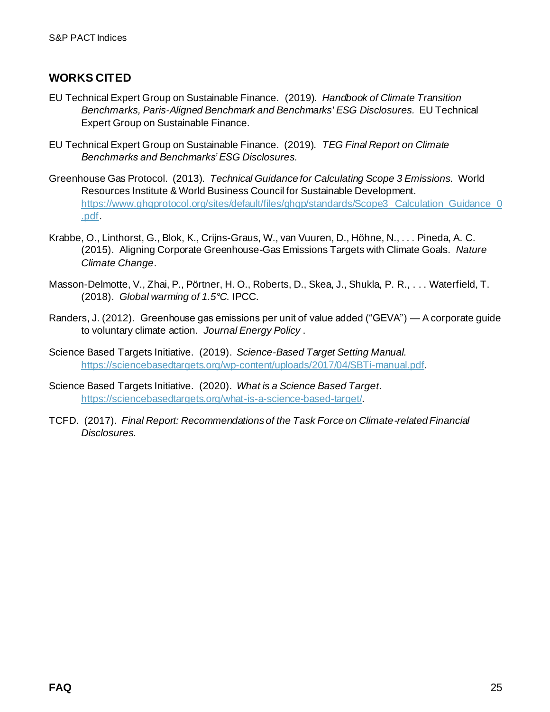## **WORKS CITED**

- EU Technical Expert Group on Sustainable Finance. (2019). *Handbook of Climate Transition Benchmarks, Paris-Aligned Benchmark and Benchmarks' ESG Disclosures.* EU Technical Expert Group on Sustainable Finance.
- EU Technical Expert Group on Sustainable Finance. (2019). *TEG Final Report on Climate Benchmarks and Benchmarks' ESG Disclosures.*
- Greenhouse Gas Protocol. (2013). *Technical Guidance for Calculating Scope 3 Emissions.* World Resources Institute & World Business Council for Sustainable Development. https://www.ghgprotocol.org/sites/default/files/ghgp/standards/Scope3\_Calculation\_Guidance\_0 .pdf.
- Krabbe, O., Linthorst, G., Blok, K., Crijns-Graus, W., van Vuuren, D., Höhne, N., . . . Pineda, A. C. (2015). Aligning Corporate Greenhouse-Gas Emissions Targets with Climate Goals. *Nature Climate Change*.
- Masson-Delmotte, V., Zhai, P., Pörtner, H. O., Roberts, D., Skea, J., Shukla, P. R., . . . Waterfield, T. (2018). *Global warming of 1.5°C.* IPCC.
- Randers, J. (2012). Greenhouse gas emissions per unit of value added ("GEVA") A corporate guide to voluntary climate action. *Journal Energy Policy* .
- Science Based Targets Initiative. (2019). *Science-Based Target Setting Manual.* https://sciencebasedtargets.org/wp-content/uploads/2017/04/SBTi-manual.pdf.
- Science Based Targets Initiative. (2020). *What is a Science Based Target*. https://sciencebasedtargets.org/what-is-a-science-based-target/.
- TCFD. (2017). *Final Report: Recommendations of the Task Force on Climate-related Financial Disclosures.*